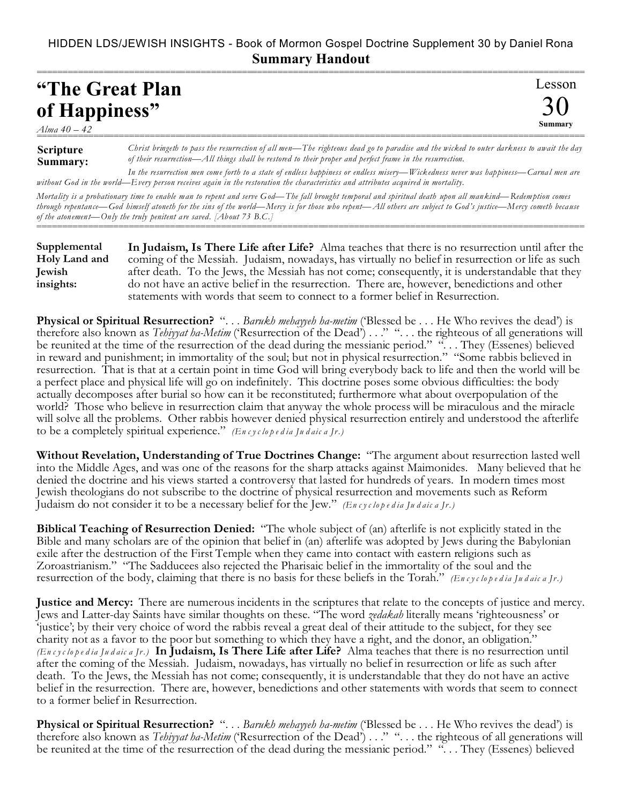## HIDDEN LDS/JEWISH INSIGHTS - Book of Mormon Gospel Doctrine Supplement 30 by Daniel Rona **Summary Handout**

## =========================================================================================================== **"The Great Plan of Happiness"**

*Alma 40 – 42*

## **Scripture Summary:** =========================================================================================================== *Christ bringeth to pass the resurrection of all men—The righteous dead go to paradise and the wicked to outer darkness to await the day of their resurrection—All things shall be restored to their proper and perfect frame in the resurrection.*

Lesson

30 **Summary**

*In the resurrection men come forth to a state of endless happiness or endless misery—Wickedness never was happiness—Carnal men are without God in the world—Every person receives again in the restoration the characteristics and attributes acquired in mortality.*

*Mortality is a probationary time to enable man to repent and serve God—The fall brought temporal and spiritual death upon all mankind—Redemption comes through repentance—God himself atoneth for the sins of the world—Mercy is for those who repent—All others are subject to God's justice—Mercy cometh because of the atonement—Only the truly penitent are saved. [About 73 B.C.]* ===========================================================================================================

**In Judaism, Is There Life after Life?** Alma teaches that there is no resurrection until after the coming of the Messiah. Judaism, nowadays, has virtually no belief in resurrection or life as such after death. To the Jews, the Messiah has not come; consequently, it is understandable that they do not have an active belief in the resurrection. There are, however, benedictions and other statements with words that seem to connect to a former belief in Resurrection. **Supplemental Holy Land and Jewish insights:**

**Physical or Spiritual Resurrection?** ". . . *Barukh mehayyeh ha-metim* ('Blessed be . . . He Who revives the dead') is therefore also known as *Tehiyyat ha-Metim* ('Resurrection of the Dead') . . ." ". . . the righteous of all generations will be reunited at the time of the resurrection of the dead during the messianic period." "... They (Essenes) believed in reward and punishment; in immortality of the soul; but not in physical resurrection." "Some rabbis believed in resurrection. That is that at a certain point in time God will bring everybody back to life and then the world will be a perfect place and physical life will go on indefinitely. This doctrine poses some obvious difficulties: the body actually decomposes after burial so how can it be reconstituted; furthermore what about overpopulation of the world? Those who believe in resurrection claim that anyway the whole process will be miraculous and the miracle will solve all the problems. Other rabbis however denied physical resurrection entirely and understood the afterlife to be a completely spiritual experience." *(En c y c lo p e d ia Ju d aic a Jr.)*

**Without Revelation, Understanding of True Doctrines Change:** "The argument about resurrection lasted well into the Middle Ages, and was one of the reasons for the sharp attacks against Maimonides. Many believed that he denied the doctrine and his views started a controversy that lasted for hundreds of years. In modern times most Jewish theologians do not subscribe to the doctrine of physical resurrection and movements such as Reform Judaism do not consider it to be a necessary belief for the Jew." *(En c y c lo p e d ia Ju d aic a Jr.)*

**Biblical Teaching of Resurrection Denied:** "The whole subject of (an) afterlife is not explicitly stated in the Bible and many scholars are of the opinion that belief in (an) afterlife was adopted by Jews during the Babylonian exile after the destruction of the First Temple when they came into contact with eastern religions such as Zoroastrianism." "The Sadducees also rejected the Pharisaic belief in the immortality of the soul and the resurrection of the body, claiming that there is no basis for these beliefs in the Torah." *(En c y c lo p e d ia Ju d aic a Jr.)*

**Justice and Mercy:** There are numerous incidents in the scriptures that relate to the concepts of justice and mercy. Jews and Latter-day Saints have similar thoughts on these. "The word *zedakah* literally means 'righteousness' or 'justice'; by their very choice of word the rabbis reveal a great deal of their attitude to the subject, for they see charity not as a favor to the poor but something to which they have a right, and the donor, an obligation." *(En c y c lo p e d ia Ju d aic a Jr.)* **In Judaism, Is There Life after Life?** Alma teaches that there is no resurrection until after the coming of the Messiah. Judaism, nowadays, has virtually no belief in resurrection or life as such after death. To the Jews, the Messiah has not come; consequently, it is understandable that they do not have an active belief in the resurrection. There are, however, benedictions and other statements with words that seem to connect to a former belief in Resurrection.

**Physical or Spiritual Resurrection?** ". . . *Barukh mehayyeh ha-metim* ('Blessed be . . . He Who revives the dead') is therefore also known as *Tehiyyat ha-Metim* ('Resurrection of the Dead') . . ." ". . . the righteous of all generations will be reunited at the time of the resurrection of the dead during the messianic period." "... They (Essenes) believed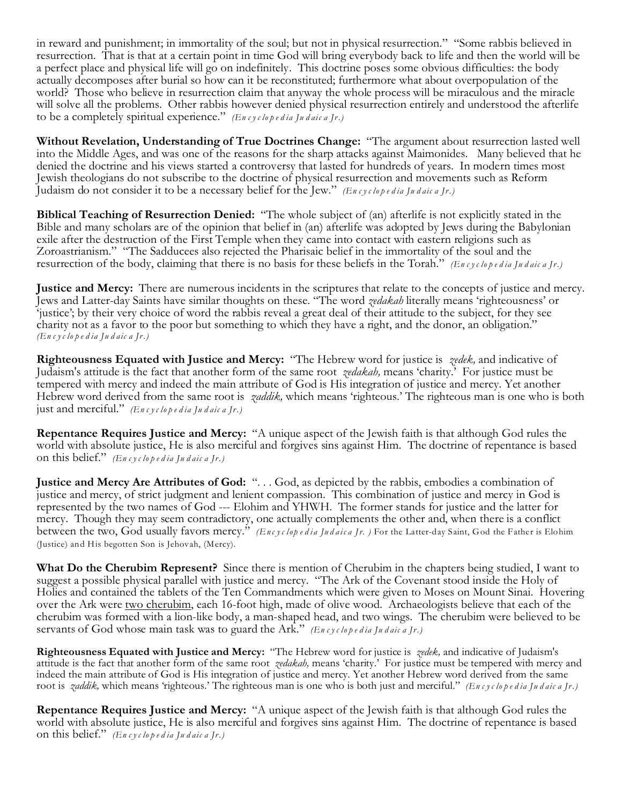in reward and punishment; in immortality of the soul; but not in physical resurrection." "Some rabbis believed in resurrection. That is that at a certain point in time God will bring everybody back to life and then the world will be a perfect place and physical life will go on indefinitely. This doctrine poses some obvious difficulties: the body actually decomposes after burial so how can it be reconstituted; furthermore what about overpopulation of the world? Those who believe in resurrection claim that anyway the whole process will be miraculous and the miracle will solve all the problems. Other rabbis however denied physical resurrection entirely and understood the afterlife to be a completely spiritual experience." *(En c y c lo p e d ia Ju d aic a Jr.)*

**Without Revelation, Understanding of True Doctrines Change:** "The argument about resurrection lasted well into the Middle Ages, and was one of the reasons for the sharp attacks against Maimonides. Many believed that he denied the doctrine and his views started a controversy that lasted for hundreds of years. In modern times most Jewish theologians do not subscribe to the doctrine of physical resurrection and movements such as Reform Judaism do not consider it to be a necessary belief for the Jew." *(En c y c lo p e d ia Ju d aic a Jr.)*

**Biblical Teaching of Resurrection Denied:** "The whole subject of (an) afterlife is not explicitly stated in the Bible and many scholars are of the opinion that belief in (an) afterlife was adopted by Jews during the Babylonian exile after the destruction of the First Temple when they came into contact with eastern religions such as Zoroastrianism." "The Sadducees also rejected the Pharisaic belief in the immortality of the soul and the resurrection of the body, claiming that there is no basis for these beliefs in the Torah." *(En c y c lo p e d ia Ju d aic a Jr.)*

**Justice and Mercy:** There are numerous incidents in the scriptures that relate to the concepts of justice and mercy. Jews and Latter-day Saints have similar thoughts on these. "The word *zedakah* literally means 'righteousness' or 'justice'; by their very choice of word the rabbis reveal a great deal of their attitude to the subject, for they see charity not as a favor to the poor but something to which they have a right, and the donor, an obligation." *(En c y c lo p e d ia Ju d aic a Jr.)*

**Righteousness Equated with Justice and Mercy:** "The Hebrew word for justice is *zedek,* and indicative of Judaism's attitude is the fact that another form of the same root *zedakah,* means 'charity.' For justice must be tempered with mercy and indeed the main attribute of God is His integration of justice and mercy. Yet another Hebrew word derived from the same root is *zaddik,* which means 'righteous.' The righteous man is one who is both just and merciful." *(En c y c lo p e d ia Ju d aic a Jr.)*

**Repentance Requires Justice and Mercy:** "A unique aspect of the Jewish faith is that although God rules the world with absolute justice, He is also merciful and forgives sins against Him. The doctrine of repentance is based on this belief." *(En c y c lo p e d ia Ju d aic a Jr.)*

**Justice and Mercy Are Attributes of God:** ". . . God, as depicted by the rabbis, embodies a combination of justice and mercy, of strict judgment and lenient compassion. This combination of justice and mercy in God is represented by the two names of God --- Elohim and YHWH. The former stands for justice and the latter for mercy. Though they may seem contradictory, one actually complements the other and, when there is a conflict between the two, God usually favors mercy." *(Enc y c lop e d ia Ju d aic a Jr. )* For the Latter-day Saint, God the Father is Elohim (Justice) and His begotten Son is Jehovah, (Mercy).

**What Do the Cherubim Represent?** Since there is mention of Cherubim in the chapters being studied, I want to suggest a possible physical parallel with justice and mercy. "The Ark of the Covenant stood inside the Holy of Holies and contained the tablets of the Ten Commandments which were given to Moses on Mount Sinai. Hovering over the Ark were two cherubim, each 16-foot high, made of olive wood. Archaeologists believe that each of the cherubim was formed with a lion-like body, a man-shaped head, and two wings. The cherubim were believed to be servants of God whose main task was to guard the Ark." *(En c y c lo p e d ia Ju d aic a Jr.)*

**Righteousness Equated with Justice and Mercy:** "The Hebrew word for justice is *zedek,* and indicative of Judaism's attitude is the fact that another form of the same root *zedakah,* means 'charity.' For justice must be tempered with mercy and indeed the main attribute of God is His integration of justice and mercy. Yet another Hebrew word derived from the same root is *zaddik*, which means 'righteous.' The righteous man is one who is both just and merciful." (Encyclopedia Judaica Jr.)

**Repentance Requires Justice and Mercy:** "A unique aspect of the Jewish faith is that although God rules the world with absolute justice, He is also merciful and forgives sins against Him. The doctrine of repentance is based on this belief." *(En c y c lo p e d ia Ju d aic a Jr.)*